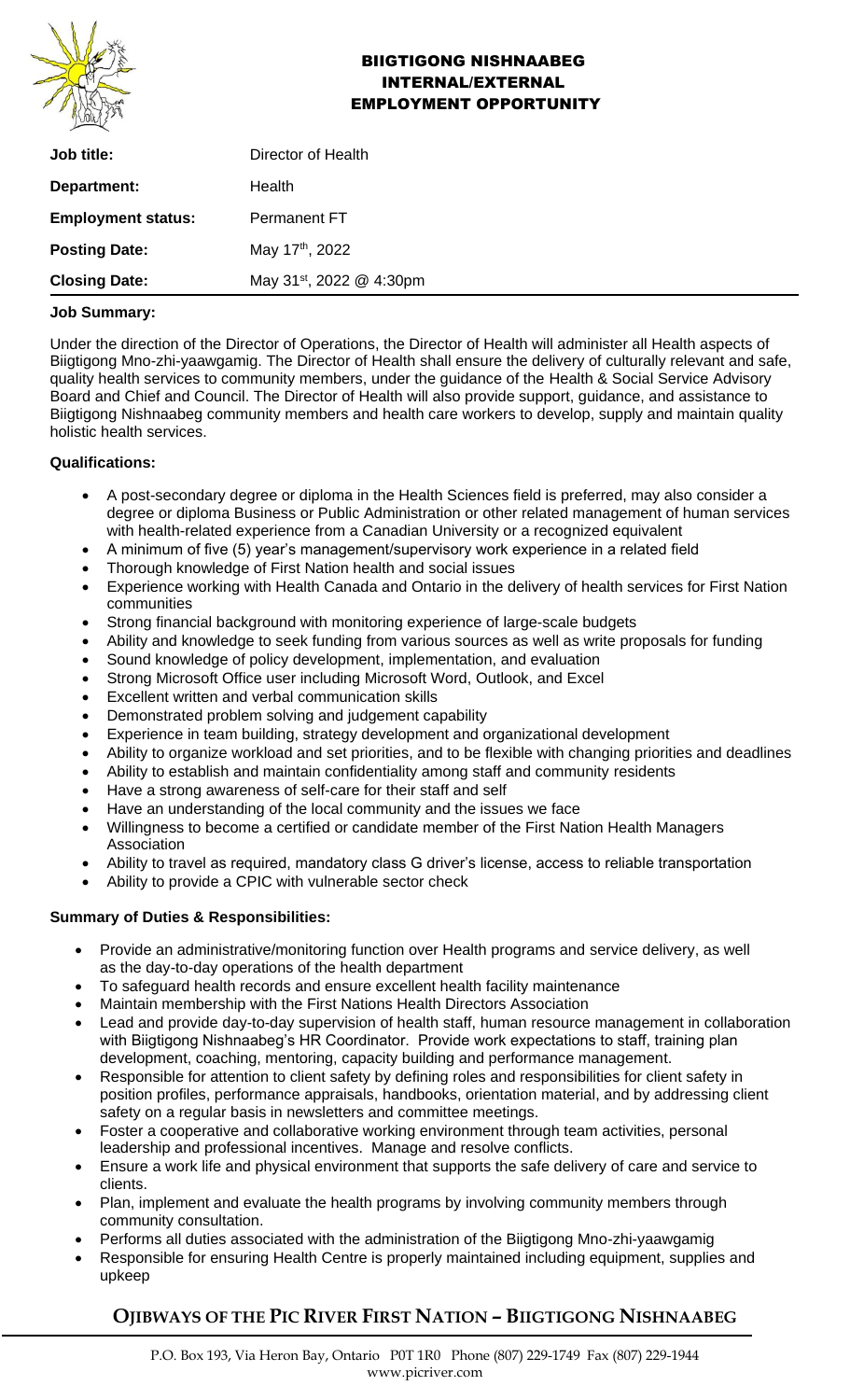

## BIIGTIGONG NISHNAABEG INTERNAL/EXTERNAL EMPLOYMENT OPPORTUNITY

| <b>Job title:</b>         | Director of Health                   |
|---------------------------|--------------------------------------|
| Department:               | Health                               |
| <b>Employment status:</b> | Permanent FT                         |
| <b>Posting Date:</b>      | May 17 <sup>th</sup> , 2022          |
| <b>Closing Date:</b>      | May 31 <sup>st</sup> , 2022 @ 4:30pm |

#### **Job Summary:**

Under the direction of the Director of Operations, the Director of Health will administer all Health aspects of Biigtigong Mno-zhi-yaawgamig. The Director of Health shall ensure the delivery of culturally relevant and safe, quality health services to community members, under the guidance of the Health & Social Service Advisory Board and Chief and Council. The Director of Health will also provide support, guidance, and assistance to Biigtigong Nishnaabeg community members and health care workers to develop, supply and maintain quality holistic health services.

#### **Qualifications:**

- A post-secondary degree or diploma in the Health Sciences field is preferred, may also consider a degree or diploma Business or Public Administration or other related management of human services with health-related experience from a Canadian University or a recognized equivalent
- A minimum of five (5) year's management/supervisory work experience in a related field
- Thorough knowledge of First Nation health and social issues
- Experience working with Health Canada and Ontario in the delivery of health services for First Nation communities
- Strong financial background with monitoring experience of large-scale budgets
- Ability and knowledge to seek funding from various sources as well as write proposals for funding
- Sound knowledge of policy development, implementation, and evaluation
- Strong Microsoft Office user including Microsoft Word, Outlook, and Excel
- Excellent written and verbal communication skills
- Demonstrated problem solving and judgement capability
- Experience in team building, strategy development and organizational development
- Ability to organize workload and set priorities, and to be flexible with changing priorities and deadlines
- Ability to establish and maintain confidentiality among staff and community residents
- Have a strong awareness of self-care for their staff and self
- Have an understanding of the local community and the issues we face
- Willingness to become a certified or candidate member of the First Nation Health Managers Association
- Ability to travel as required, mandatory class G driver's license, access to reliable transportation
- Ability to provide a CPIC with vulnerable sector check

### **Summary of Duties & Responsibilities:**

- Provide an administrative/monitoring function over Health programs and service delivery, as well as the day-to-day operations of the health department
- To safeguard health records and ensure excellent health facility maintenance
- Maintain membership with the First Nations Health Directors Association
- Lead and provide day-to-day supervision of health staff, human resource management in collaboration with Biigtigong Nishnaabeg's HR Coordinator. Provide work expectations to staff, training plan development, coaching, mentoring, capacity building and performance management.
- Responsible for attention to client safety by defining roles and responsibilities for client safety in position profiles, performance appraisals, handbooks, orientation material, and by addressing client safety on a regular basis in newsletters and committee meetings.
- Foster a cooperative and collaborative working environment through team activities, personal leadership and professional incentives. Manage and resolve conflicts.
- Ensure a work life and physical environment that supports the safe delivery of care and service to clients.
- Plan, implement and evaluate the health programs by involving community members through community consultation.
- Performs all duties associated with the administration of the Biigtigong Mno-zhi-yaawgamig
- Responsible for ensuring Health Centre is properly maintained including equipment, supplies and upkeep

# **OJIBWAYS OF THE PIC RIVER FIRST NATION – BIIGTIGONG NISHNAABEG**